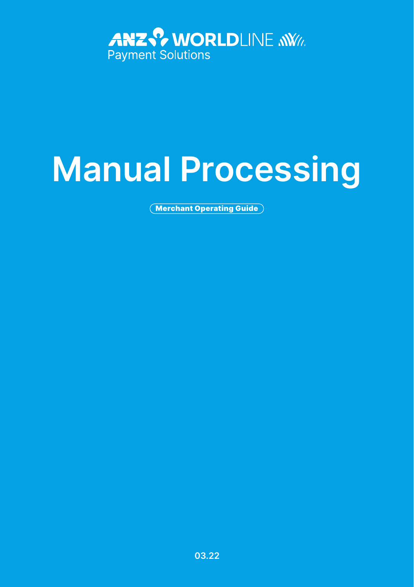

# **Manual Processing**

Merchant Operating Guide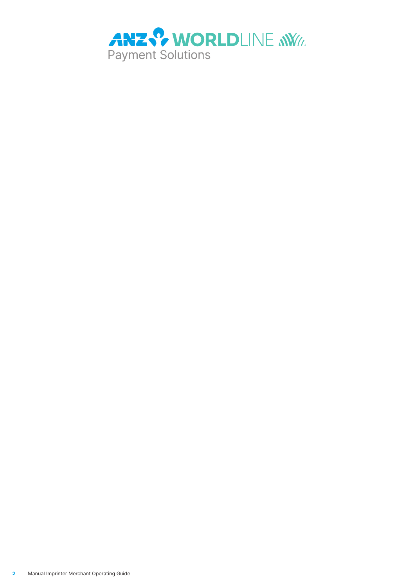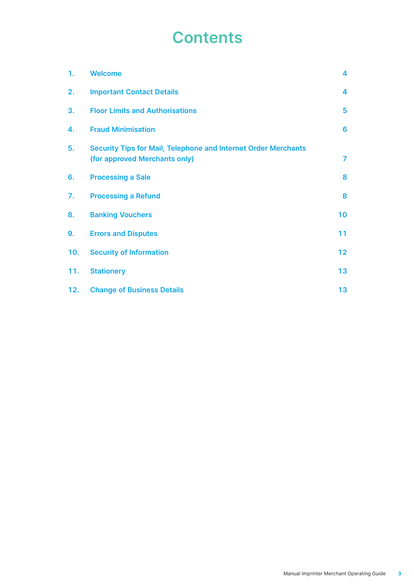### **Contents**

| 1.  | <b>Welcome</b>                                                                                  | 4               |
|-----|-------------------------------------------------------------------------------------------------|-----------------|
| 2.  | <b>Important Contact Details</b>                                                                | 4               |
| 3.  | <b>Floor Limits and Authorisations</b>                                                          | 5               |
| 4.  | <b>Fraud Minimisation</b>                                                                       | 6               |
| 5.  | Security Tips for Mail, Telephone and Internet Order Merchants<br>(for approved Merchants only) | $\overline{7}$  |
| 6.  | <b>Processing a Sale</b>                                                                        | 8               |
| 7.  | <b>Processing a Refund</b>                                                                      | 8               |
| 8.  | <b>Banking Vouchers</b>                                                                         | 10              |
| 9.  | <b>Errors and Disputes</b>                                                                      | 11              |
| 10. | <b>Security of Information</b>                                                                  | 12 <sup>2</sup> |
| 11. | <b>Stationery</b>                                                                               | 13              |
| 12. | <b>Change of Business Details</b>                                                               | 13              |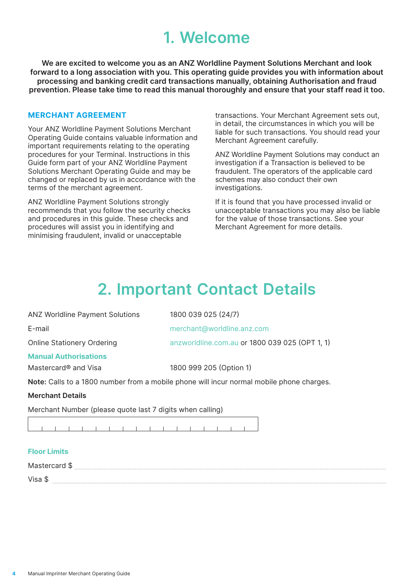### **1. Welcome**

<span id="page-3-0"></span>**We are excited to welcome you as an ANZ Worldline Payment Solutions Merchant and look forward to a long association with you. This operating guide provides you with information about processing and banking credit card transactions manually, obtaining Authorisation and fraud prevention. Please take time to read this manual thoroughly and ensure that your staff read it too.**

#### **MERCHANT AGREEMENT**

Your ANZ Worldline Payment Solutions Merchant Operating Guide contains valuable information and important requirements relating to the operating procedures for your Terminal. Instructions in this Guide form part of your ANZ Worldline Payment Solutions Merchant Operating Guide and may be changed or replaced by us in accordance with the terms of the merchant agreement.

ANZ Worldline Payment Solutions strongly recommends that you follow the security checks and procedures in this guide. These checks and procedures will assist you in identifying and minimising fraudulent, invalid or unacceptable

transactions. Your Merchant Agreement sets out, in detail, the circumstances in which you will be liable for such transactions. You should read your Merchant Agreement carefully.

ANZ Worldline Payment Solutions may conduct an investigation if a Transaction is believed to be fraudulent. The operators of the applicable card schemes may also conduct their own investigations.

If it is found that you have processed invalid or unacceptable transactions you may also be liable for the value of those transactions. See your Merchant Agreement for more details.

### **2. Important Contact Details**

| <b>ANZ Worldline Payment Solutions</b> | 1800 039 025 (24/7)                                                                      |
|----------------------------------------|------------------------------------------------------------------------------------------|
| E-mail                                 | merchant@worldline.anz.com                                                               |
| Online Stationery Ordering             | anzworldline.com.au or 1800 039 025 (OPT 1, 1)                                           |
| <b>Manual Authorisations</b>           |                                                                                          |
| Mastercard® and Visa                   | 1800 999 205 (Option 1)                                                                  |
|                                        | Note: Calls to a 1800 number from a mobile phone will incur normal mobile phone charges. |
| <b>Merchant Details</b>                |                                                                                          |

Merchant Number (please quote last 7 digits when calling)

 $1 1 1 1 1 1 1 1 1 1 1$ 

#### **Floor Limits**

| M.               | . |  |  |  |  |  |  |  |
|------------------|---|--|--|--|--|--|--|--|
| $V$ ica<br>۰ iba |   |  |  |  |  |  |  |  |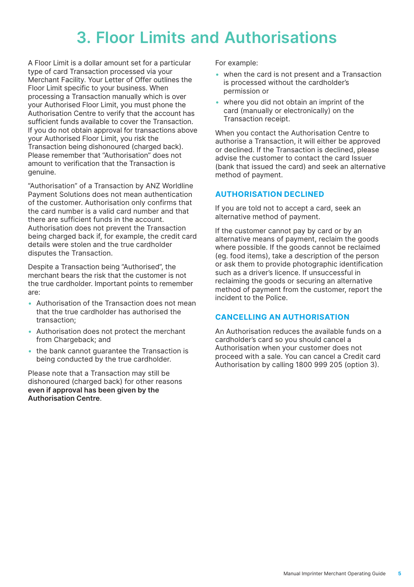### **3. Floor Limits and Authorisations**

<span id="page-4-0"></span>A Floor Limit is a dollar amount set for a particular type of card Transaction processed via your Merchant Facility. Your Letter of Offer outlines the Floor Limit specific to your business. When processing a Transaction manually which is over your Authorised Floor Limit, you must phone the Authorisation Centre to verify that the account has sufficient funds available to cover the Transaction. If you do not obtain approval for transactions above your Authorised Floor Limit, you risk the Transaction being dishonoured (charged back). Please remember that "Authorisation" does not amount to verification that the Transaction is genuine.

"Authorisation" of a Transaction by ANZ Worldline Payment Solutions does not mean authentication of the customer. Authorisation only confirms that the card number is a valid card number and that there are sufficient funds in the account. Authorisation does not prevent the Transaction being charged back if, for example, the credit card details were stolen and the true cardholder disputes the Transaction.

Despite a Transaction being "Authorised", the merchant bears the risk that the customer is not the true cardholder. Important points to remember are:

- Authorisation of the Transaction does not mean that the true cardholder has authorised the transaction;
- Authorisation does not protect the merchant from Chargeback: and
- the bank cannot guarantee the Transaction is being conducted by the true cardholder.

Please note that a Transaction may still be dishonoured (charged back) for other reasons **even if approval has been given by the Authorisation Centre**.

For example:

- when the card is not present and a Transaction is processed without the cardholder's permission or
- where you did not obtain an imprint of the card (manually or electronically) on the Transaction receipt.

When you contact the Authorisation Centre to authorise a Transaction, it will either be approved or declined. If the Transaction is declined, please advise the customer to contact the card Issuer (bank that issued the card) and seek an alternative method of payment.

### **AUTHORISATION DECLINED**

If you are told not to accept a card, seek an alternative method of payment.

If the customer cannot pay by card or by an alternative means of payment, reclaim the goods where possible. If the goods cannot be reclaimed (eg. food items), take a description of the person or ask them to provide photographic identification such as a driver's licence. If unsuccessful in reclaiming the goods or securing an alternative method of payment from the customer, report the incident to the Police.

### **CANCELLING AN AUTHORISATION**

An Authorisation reduces the available funds on a cardholder's card so you should cancel a Authorisation when your customer does not proceed with a sale. You can cancel a Credit card Authorisation by calling 1800 999 205 (option 3).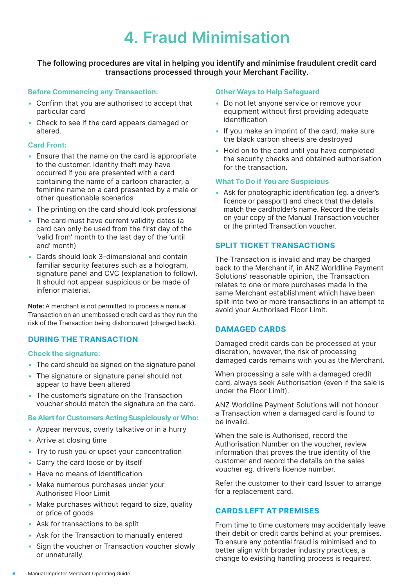## **4. Fraud Minimisation**

### <span id="page-5-0"></span>**The following procedures are vital in helping you identify and minimise fraudulent credit card transactions processed through your Merchant Facility.**

#### **Before Commencing any Transaction:**

- Confirm that you are authorised to accept that particular card
- Check to see if the card appears damaged or altered.

### **Card Front:**

- Ensure that the name on the card is appropriate to the customer. Identity theft may have occurred if you are presented with a card containing the name of a cartoon character, a feminine name on a card presented by a male or other questionable scenarios
- The printing on the card should look professional
- The card must have current validity dates (a card can only be used from the first day of the 'valid from' month to the last day of the 'until end' month)
- Cards should look 3-dimensional and contain familiar security features such as a hologram, signature panel and CVC (explanation to follow). It should not appear suspicious or be made of inferior material.

**Note:** A merchant is not permitted to process a manual Transaction on an unembossed credit card as they run the risk of the Transaction being dishonoured (charged back).

### **DURING THE TRANSACTION**

#### **Check the signature:**

- The card should be signed on the signature panel
- The signature or signature panel should not appear to have been altered
- The customer's signature on the Transaction voucher should match the signature on the card.

#### **Be Alert for Customers Acting Suspiciously or Who:**

- Appear nervous, overly talkative or in a hurry
- Arrive at closing time
- Try to rush you or upset your concentration
- Carry the card loose or by itself
- Have no means of identification
- Make numerous purchases under your Authorised Floor Limit
- Make purchases without regard to size, quality or price of goods
- Ask for transactions to be split
- Ask for the Transaction to manually entered
- Sign the voucher or Transaction voucher slowly or unnaturally.

#### **Other Ways to Help Safeguard**

- Do not let anyone service or remove your equipment without first providing adequate identification
- If you make an imprint of the card, make sure the black carbon sheets are destroyed
- Hold on to the card until you have completed the security checks and obtained authorisation for the transaction.

#### **What To Do if You are Suspicious**

• Ask for photographic identification (eg. a driver's licence or passport) and check that the details match the cardholder's name. Record the details on your copy of the Manual Transaction voucher or the printed Transaction voucher.

### **SPLIT TICKET TRANSACTIONS**

The Transaction is invalid and may be charged back to the Merchant if, in ANZ Worldline Payment Solutions' reasonable opinion, the Transaction relates to one or more purchases made in the same Merchant establishment which have been split into two or more transactions in an attempt to avoid your Authorised Floor Limit.

### **DAMAGED CARDS**

Damaged credit cards can be processed at your discretion, however, the risk of processing damaged cards remains with you as the Merchant.

When processing a sale with a damaged credit card, always seek Authorisation (even if the sale is under the Floor Limit).

ANZ Worldline Payment Solutions will not honour a Transaction when a damaged card is found to be invalid.

When the sale is Authorised, record the Authorisation Number on the voucher, review information that proves the true identity of the customer and record the details on the sales voucher eg. driver's licence number.

Refer the customer to their card Issuer to arrange for a replacement card.

### **CARDS LEFT AT PREMISES**

From time to time customers may accidentally leave their debit or credit cards behind at your premises. To ensure any potential fraud is minimised and to better align with broader industry practices, a change to existing handling process is required.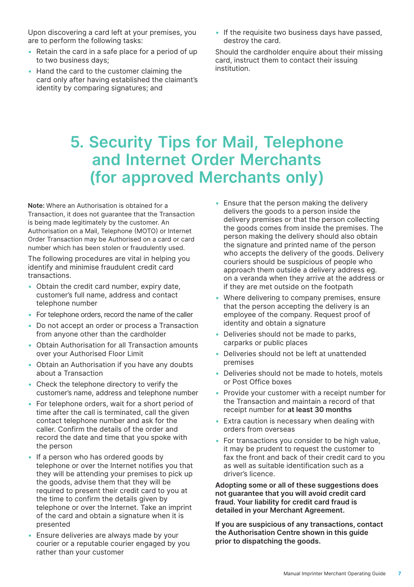<span id="page-6-0"></span>Upon discovering a card left at your premises, you are to perform the following tasks:

- Retain the card in a safe place for a period of up to two business days;
- Hand the card to the customer claiming the card only after having established the claimant's identity by comparing signatures; and
- If the requisite two business days have passed, destroy the card.

Should the cardholder enquire about their missing card, instruct them to contact their issuing institution.

### **5. Security Tips for Mail, Telephone and Internet Order Merchants (for approved Merchants only)**

**Note:** Where an Authorisation is obtained for a Transaction, it does not guarantee that the Transaction is being made legitimately by the customer. An Authorisation on a Mail, Telephone (MOTO) or Internet Order Transaction may be Authorised on a card or card number which has been stolen or fraudulently used.

The following procedures are vital in helping you identify and minimise fraudulent credit card transactions.

- Obtain the credit card number, expiry date, customer's full name, address and contact telephone number
- For telephone orders, record the name of the caller
- Do not accept an order or process a Transaction from anyone other than the cardholder
- Obtain Authorisation for all Transaction amounts over your Authorised Floor Limit
- Obtain an Authorisation if you have any doubts about a Transaction
- Check the telephone directory to verify the customer's name, address and telephone number
- For telephone orders, wait for a short period of time after the call is terminated, call the given contact telephone number and ask for the caller. Confirm the details of the order and record the date and time that you spoke with the person
- If a person who has ordered goods by telephone or over the Internet notifies you that they will be attending your premises to pick up the goods, advise them that they will be required to present their credit card to you at the time to confirm the details given by telephone or over the Internet. Take an imprint of the card and obtain a signature when it is presented
- Ensure deliveries are always made by your courier or a reputable courier engaged by you rather than your customer
- Ensure that the person making the delivery delivers the goods to a person inside the delivery premises or that the person collecting the goods comes from inside the premises. The person making the delivery should also obtain the signature and printed name of the person who accepts the delivery of the goods. Delivery couriers should be suspicious of people who approach them outside a delivery address eg. on a veranda when they arrive at the address or if they are met outside on the footpath
- Where delivering to company premises, ensure that the person accepting the delivery is an employee of the company. Request proof of identity and obtain a signature
- Deliveries should not be made to parks, carparks or public places
- Deliveries should not be left at unattended premises
- Deliveries should not be made to hotels, motels or Post Office boxes
- Provide your customer with a receipt number for the Transaction and maintain a record of that receipt number for **at least 30 months**
- Extra caution is necessary when dealing with orders from overseas
- For transactions you consider to be high value, it may be prudent to request the customer to fax the front and back of their credit card to you as well as suitable identification such as a driver's licence.

**Adopting some or all of these suggestions does not guarantee that you will avoid credit card fraud. Your liability for credit card fraud is detailed in your Merchant Agreement.**

**If you are suspicious of any transactions, contact the Authorisation Centre shown in this guide prior to dispatching the goods.**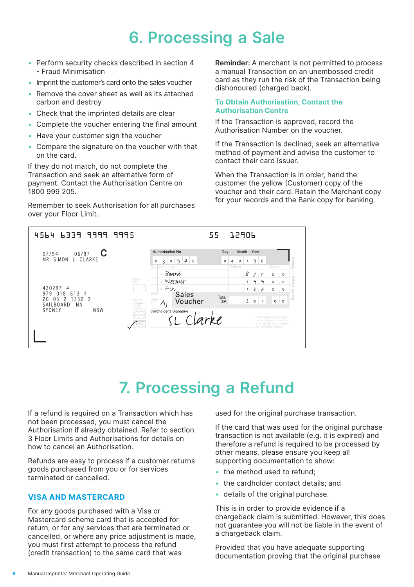### **6. Processing a Sale**

- <span id="page-7-0"></span>• Perform security checks described in section 4 - Fraud Minimisation
- Imprint the customer's card onto the sales voucher
- Remove the cover sheet as well as its attached carbon and destroy
- Check that the imprinted details are clear
- Complete the voucher entering the final amount
- Have your customer sign the voucher
- Compare the signature on the voucher with that on the card.

If they do not match, do not complete the Transaction and seek an alternative form of payment. Contact the Authorisation Centre on 1800 999 205.

Remember to seek Authorisation for all purchases over your Floor Limit.

**Reminder:** A merchant is not permitted to process a manual Transaction on an unembossed credit card as they run the risk of the Transaction being dishonoured (charged back).

#### **To Obtain Authorisation, Contact the Authorisation Centre**

If the Transaction is approved, record the Authorisation Number on the voucher.

If the Transaction is declined, seek an alternative method of payment and advise the customer to contact their card Issuer.

When the Transaction is in order, hand the customer the yellow (Customer) copy of the voucher and their card. Retain the Merchant copy for your records and the Bank copy for banking.

| 4564<br>6339 9999                                                                                                      | 9995                                                                                                                                                        | 55                                                 | 15906                                                                    |                                                                                                                       |
|------------------------------------------------------------------------------------------------------------------------|-------------------------------------------------------------------------------------------------------------------------------------------------------------|----------------------------------------------------|--------------------------------------------------------------------------|-----------------------------------------------------------------------------------------------------------------------|
| С<br>06/97<br>07/94<br>SIMON<br><b>MR</b><br>L CLARKE                                                                  | Authorisation No.<br>70<br>್ರಿ<br>$\leq$<br>0<br>$\circ$<br><b>Oty. Description</b>                                                                         | Day<br>$\circ$<br>$\circ$<br>$\ddot{+}$<br>Dollars | Month<br>Year<br>6<br>೨<br>1                                             | alles<br>Cents                                                                                                        |
| 420297<br>4<br>979<br>613<br>018<br>4<br>1352<br>03<br>20<br>$\overline{\phantom{a}}$<br>-3<br>SAILBOARD<br><b>INN</b> | ı Board<br>Validity<br><i>I</i> Wetsuit<br>Dates <sup>1</sup><br>$F_{\mu}$<br>Dept.<br><b>Sales</b><br>Clerk<br>Tick one<br>Voucher<br>$A^{\prime}$<br>Int, | Total<br><b>SA</b><br>$\mathbf{r}$                 | 875<br>$\theta$<br>٩<br>2,7<br>$\mathbf{2}$<br>$\circ$<br>$\overline{1}$ | $\circ$<br>$\overline{\phantom{0}}$<br>Copy<br>$\circ$<br>$\circ$<br>$\circ$<br>$\circ$<br>Bank<br>$\circ$<br>$\circ$ |
| SYDNEY<br><b>NSW</b>                                                                                                   | Cardholder's Signature<br>(maybor)<br>SL Clarke                                                                                                             |                                                    |                                                                          | I acknowledge receipt<br>for services and goods<br>and liability for charges<br>as recorded hereon.                   |

### **7. Processing a Refund**

If a refund is required on a Transaction which has not been processed, you must cancel the Authorisation if already obtained. Refer to section 3 Floor Limits and Authorisations for details on how to cancel an Authorisation.

Refunds are easy to process if a customer returns goods purchased from you or for services terminated or cancelled.

### **VISA AND MASTERCARD**

For any goods purchased with a Visa or Mastercard scheme card that is accepted for return, or for any services that are terminated or cancelled, or where any price adjustment is made, you must first attempt to process the refund (credit transaction) to the same card that was

used for the original purchase transaction.

If the card that was used for the original purchase transaction is not available (e.g. it is expired) and therefore a refund is required to be processed by other means, please ensure you keep all supporting documentation to show:

- the method used to refund:
- the cardholder contact details; and
- details of the original purchase.

This is in order to provide evidence if a chargeback claim is submitted. However, this does not guarantee you will not be liable in the event of a chargeback claim.

Provided that you have adequate supporting documentation proving that the original purchase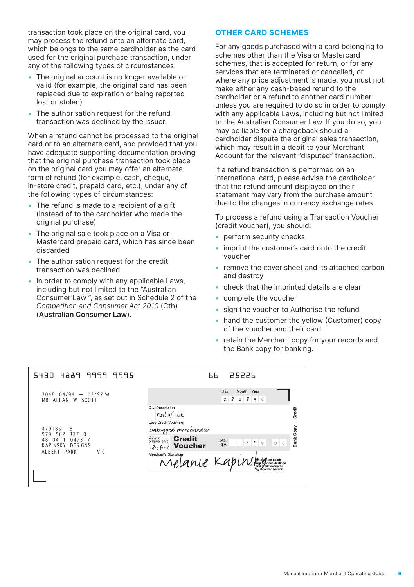transaction took place on the original card, you may process the refund onto an alternate card, which belongs to the same cardholder as the card used for the original purchase transaction, under any of the following types of circumstances:

- The original account is no longer available or valid (for example, the original card has been replaced due to expiration or being reported lost or stolen)
- The authorisation request for the refund transaction was declined by the issuer.

When a refund cannot be processed to the original card or to an alternate card, and provided that you have adequate supporting documentation proving that the original purchase transaction took place on the original card you may offer an alternate form of refund (for example, cash, cheque, in-store credit, prepaid card, etc.), under any of the following types of circumstances:

- The refund is made to a recipient of a gift (instead of to the cardholder who made the original purchase)
- The original sale took place on a Visa or Mastercard prepaid card, which has since been discarded
- The authorisation request for the credit transaction was declined
- In order to comply with any applicable Laws, including but not limited to the "Australian Consumer Law ", as set out in Schedule 2 of the *Competition and Consumer Act 2010* (Cth) (**Australian Consumer Law**).

### **OTHER CARD SCHEMES**

For any goods purchased with a card belonging to schemes other than the Visa or Mastercard schemes, that is accepted for return, or for any services that are terminated or cancelled, or where any price adjustment is made, you must not make either any cash-based refund to the cardholder or a refund to another card number unless you are required to do so in order to comply with any applicable Laws, including but not limited to the Australian Consumer Law. If you do so, you may be liable for a chargeback should a cardholder dispute the original sales transaction, which may result in a debit to your Merchant Account for the relevant "disputed" transaction.

If a refund transaction is performed on an international card, please advise the cardholder that the refund amount displayed on their statement may vary from the purchase amount due to the changes in currency exchange rates.

To process a refund using a Transaction Voucher (credit voucher), you should:

- perform security checks
- imprint the customer's card onto the credit voucher
- remove the cover sheet and its attached carbon and destroy
- check that the imprinted details are clear
- complete the voucher
- sign the voucher to Authorise the refund
- hand the customer the yellow (Customer) copy of the voucher and their card
- retain the Merchant copy for your records and the Bank copy for banking.

| 4889 9999 9995<br>5430                                                                   | 25226<br>ЬЬ                                                                                                                                                                                                                      |
|------------------------------------------------------------------------------------------|----------------------------------------------------------------------------------------------------------------------------------------------------------------------------------------------------------------------------------|
| $04/94 - 03/97 M$<br>3048<br>ALLAN W SCOTT<br>M R                                        | Day<br>Month<br>Year<br>$\ell$<br>8<br>2 <sup>1</sup><br>$\circ$<br>6<br>$\gamma$<br>Qty. Description<br>Credit<br>Roll of silk                                                                                                  |
| 479186<br>8<br>562<br>337<br>979<br>$\Omega$<br>0473<br>04<br><b>KAPINSKY</b><br>DESIGNS | Less Credit Vouchers<br>Bank Copy-<br>Damaged merchandise<br><b>Credit</b><br>Date of<br>Date of<br>original sale<br>Total<br>$\mathbf{2}$<br>$\mathcal{L}$<br>$\circ$<br>$\circ$<br>$\circ$<br>\$A<br><b>Voucher</b><br>8/08/96 |
| ALBERT PARK<br>VIC.                                                                      | Merchant's Signature<br>Melanie Kapins<br><b>Phage</b> for goods<br>and great accommod                                                                                                                                           |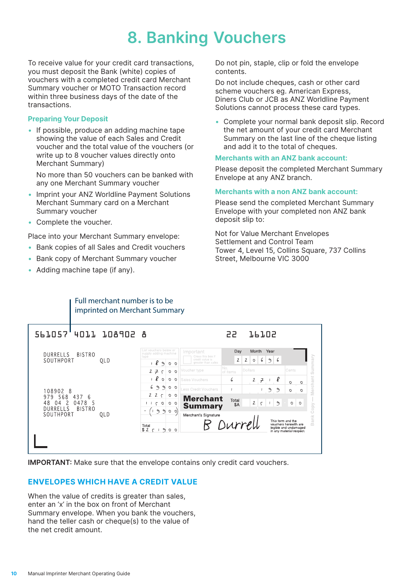### **8. Banking Vouchers**

<span id="page-9-0"></span>To receive value for your credit card transactions, you must deposit the Bank (white) copies of vouchers with a completed credit card Merchant Summary voucher or MOTO Transaction record within three business days of the date of the transactions.

#### **Preparing Your Deposit**

• If possible, produce an adding machine tape showing the value of each Sales and Credit voucher and the total value of the vouchers (or write up to 8 voucher values directly onto Merchant Summary)

 No more than 50 vouchers can be banked with any one Merchant Summary voucher

- Imprint your ANZ Worldline Payment Solutions Merchant Summary card on a Merchant Summary voucher
- Complete the voucher.

Place into your Merchant Summary envelope:

• Bank copies of all Sales and Credit vouchers

Full merchant number is to be imprinted on Merchant Summary

- Bank copy of Merchant Summary voucher
- Adding machine tape (if any).

Do not pin, staple, clip or fold the envelope contents.

Do not include cheques, cash or other card scheme vouchers eg. American Express, Diners Club or JCB as ANZ Worldline Payment Solutions cannot process these card types.

• Complete your normal bank deposit slip. Record the net amount of your credit card Merchant Summary on the last line of the cheque listing and add it to the total of cheques.

#### **Merchants with an ANZ bank account:**

Please deposit the completed Merchant Summary Envelope at any ANZ branch.

#### **Merchants with a non ANZ bank account:**

Please send the completed Merchant Summary Envelope with your completed non ANZ bank deposit slip to:

Not for Value Merchant Envelopes Settlement and Control Team Tower 4, Level 15, Collins Square, 737 Collins Street, Melbourne VIC 3000

|                                                                      |     |                                                                                                          | 55                                                                                  | 16102                                     |                                                                                                         |
|----------------------------------------------------------------------|-----|----------------------------------------------------------------------------------------------------------|-------------------------------------------------------------------------------------|-------------------------------------------|---------------------------------------------------------------------------------------------------------|
| <b>BISTRO</b><br>DURRELLS<br>SOUTHPORT                               | QLD | List vouchers below or<br>Important<br>supply adding machine<br>tape<br>8<br>$\theta$<br>$O$ $O$         | Day<br>Cross this box if<br>$\overline{2}$<br>credit value is<br>greater than sales | Month<br>2<br>6<br>$\circ$                | Year<br>Summary<br>6<br>$\gamma$                                                                        |
|                                                                      |     | Voucher type<br>27<br>$\Omega$<br>$\subset$<br>$\circ$<br>8<br>O<br>$\circ$<br>$\circ$<br>Sales Vouchers | No.<br>of Items<br>6                                                                | Dollars<br>$\mathbf{2}$<br>$\overline{r}$ | Cents<br>ℓ<br>$\circ$<br>$\circ$                                                                        |
| 108902 8<br>568<br>979<br>437<br>6                                   | OLD | 6<br>$\theta$<br>$\mathcal{L}$<br>00<br>22c<br>O<br>$\circ$                                              | Less Credit Vouchers<br><b>Merchant</b><br>Total                                    |                                           | Merchant<br>೨<br>೨<br>$\circ$<br>$\circ$                                                                |
| 48<br>2<br>0478<br>5<br>04<br><b>BISTRO</b><br>DURRELLS<br>SOUTHPORT |     | $\epsilon$<br>$\circ$<br>$\mathbf{1}$<br>o<br>$\circ$<br>٩<br>$\sim$<br>$\circ$ $\circ$<br>٠             | \$A<br><b>Summary</b><br>Merchant's Signature                                       | $\mathbf{2}$<br>$\varsigma$               | ಿ<br>$\circ$<br>$\circ$<br>Copy                                                                         |
|                                                                      |     | Total<br>$$2$ $~5$ $~1$<br>$\ddot{\phantom{1}}$<br>$O$ $O$                                               | B Durrel                                                                            |                                           | Bank<br>This form and the<br>vouchers herewith are<br>legible and undamaged<br>in any material respect. |
|                                                                      |     |                                                                                                          |                                                                                     |                                           |                                                                                                         |

**IMPORTANT:** Make sure that the envelope contains only credit card vouchers.

### **ENVELOPES WHICH HAVE A CREDIT VALUE**

When the value of credits is greater than sales, enter an 'x' in the box on front of Merchant Summary envelope. When you bank the vouchers, hand the teller cash or cheque(s) to the value of the net credit amount.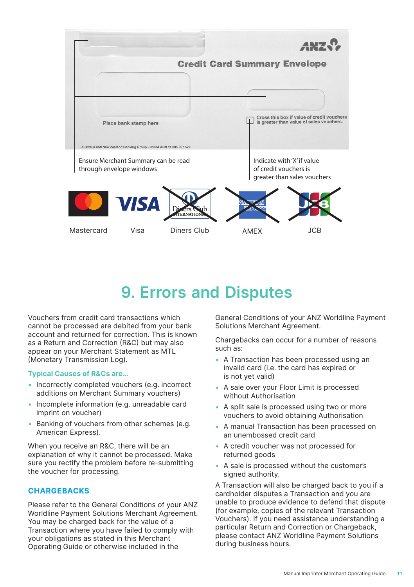<span id="page-10-0"></span>

### **9. Errors and Disputes**

Vouchers from credit card transactions which cannot be processed are debited from your bank account and returned for correction. This is known as a Return and Correction (R&C) but may also appear on your Merchant Statement as MTL (Monetary Transmission Log).

#### **Typical Causes of R&Cs are…**

- Incorrectly completed vouchers (e.g. incorrect additions on Merchant Summary vouchers)
- Incomplete information (e.g. unreadable card imprint on voucher)
- Banking of vouchers from other schemes (e.g. American Express).

When you receive an R&C, there will be an explanation of why it cannot be processed. Make sure you rectify the problem before re-submitting the voucher for processing.

### **CHARGEBACKS**

Please refer to the General Conditions of your ANZ Worldline Payment Solutions Merchant Agreement. You may be charged back for the value of a Transaction where you have failed to comply with your obligations as stated in this Merchant Operating Guide or otherwise included in the

General Conditions of your ANZ Worldline Payment Solutions Merchant Agreement.

Chargebacks can occur for a number of reasons such as:

- A Transaction has been processed using an invalid card (i.e. the card has expired or is not yet valid)
- A sale over your Floor Limit is processed without Authorisation
- A split sale is processed using two or more vouchers to avoid obtaining Authorisation
- A manual Transaction has been processed on an unembossed credit card
- A credit voucher was not processed for returned goods
- A sale is processed without the customer's signed authority.

A Transaction will also be charged back to you if a cardholder disputes a Transaction and you are unable to produce evidence to defend that dispute (for example, copies of the relevant Transaction Vouchers). If you need assistance understanding a particular Return and Correction or Chargeback, please contact ANZ Worldline Payment Solutions during business hours.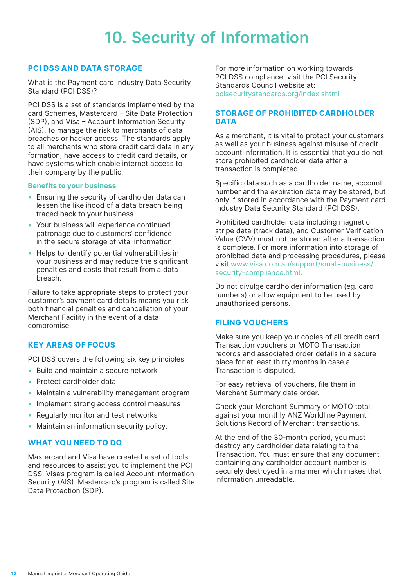### **10. Security of Information**

### <span id="page-11-0"></span>**PCI DSS AND DATA STORAGE**

What is the Payment card Industry Data Security Standard (PCI DSS)?

PCI DSS is a set of standards implemented by the card Schemes, Mastercard – Site Data Protection (SDP), and Visa – Account Information Security (AIS), to manage the risk to merchants of data breaches or hacker access. The standards apply to all merchants who store credit card data in any formation, have access to credit card details, or have systems which enable internet access to their company by the public.

#### **Benefits to your business**

- Ensuring the security of cardholder data can lessen the likelihood of a data breach being traced back to your business
- Your business will experience continued patronage due to customers' confidence in the secure storage of vital information
- Helps to identify potential vulnerabilities in your business and may reduce the significant penalties and costs that result from a data breach.

Failure to take appropriate steps to protect your customer's payment card details means you risk both financial penalties and cancellation of your Merchant Facility in the event of a data compromise.

### **KEY AREAS OF FOCUS**

PCI DSS covers the following six key principles:

- Build and maintain a secure network
- Protect cardholder data
- Maintain a vulnerability management program
- Implement strong access control measures
- Regularly monitor and test networks
- Maintain an information security policy.

### **WHAT YOU NEED TO DO**

Mastercard and Visa have created a set of tools and resources to assist you to implement the PCI DSS. Visa's program is called Account Information Security (AIS). Mastercard's program is called Site Data Protection (SDP).

For more information on working towards PCI DSS compliance, visit the PCI Security Standards Council website at: [pcisecuritystandards.org/index.shtml](http://pcisecuritystandards.org/index.shtml)

### **STORAGE OF PROHIBITED CARDHOLDER DATA**

As a merchant, it is vital to protect your customers as well as your business against misuse of credit account information. It is essential that you do not store prohibited cardholder data after a transaction is completed.

Specific data such as a cardholder name, account number and the expiration date may be stored, but only if stored in accordance with the Payment card Industry Data Security Standard (PCI DSS).

Prohibited cardholder data including magnetic stripe data (track data), and Customer Verification Value (CVV) must not be stored after a transaction is complete. For more information into storage of prohibited data and processing procedures, please visit www.visa.com.au/support/small-business/ security-compliance.html.

Do not divulge cardholder information (eg. card numbers) or allow equipment to be used by unauthorised persons.

### **FILING VOUCHERS**

Make sure you keep your copies of all credit card Transaction vouchers or MOTO Transaction records and associated order details in a secure place for at least thirty months in case a Transaction is disputed.

For easy retrieval of vouchers, file them in Merchant Summary date order.

Check your Merchant Summary or MOTO total against your monthly ANZ Worldline Payment Solutions Record of Merchant transactions.

At the end of the 30-month period, you must destroy any cardholder data relating to the Transaction. You must ensure that any document containing any cardholder account number is securely destroyed in a manner which makes that information unreadable.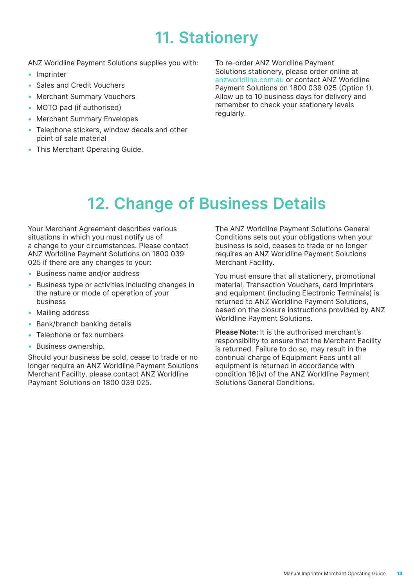### **11. Stationery**

<span id="page-12-0"></span>ANZ Worldline Payment Solutions supplies you with:

- Imprinter
- Sales and Credit Vouchers
- Merchant Summary Vouchers
- MOTO pad (if authorised)
- Merchant Summary Envelopes
- Telephone stickers, window decals and other point of sale material
- This Merchant Operating Guide.

To re-order ANZ Worldline Payment Solutions stationery, please order online at anzworldline.com.au or contact ANZ Worldline Payment Solutions on 1800 039 025 (Option 1). Allow up to 10 business days for delivery and remember to check your stationery levels regularly.

### **12. Change of Business Details**

Your Merchant Agreement describes various situations in which you must notify us of a change to your circumstances. Please contact ANZ Worldline Payment Solutions on 1800 039 025 if there are any changes to your:

- Business name and/or address
- Business type or activities including changes in the nature or mode of operation of your business
- Mailing address
- Bank/branch banking details
- Telephone or fax numbers
- Business ownership.

Should your business be sold, cease to trade or no longer require an ANZ Worldline Payment Solutions Merchant Facility, please contact ANZ Worldline Payment Solutions on 1800 039 025.

The ANZ Worldline Payment Solutions General Conditions sets out your obligations when your business is sold, ceases to trade or no longer requires an ANZ Worldline Payment Solutions Merchant Facility.

You must ensure that all stationery, promotional material, Transaction Vouchers, card Imprinters and equipment (including Electronic Terminals) is returned to ANZ Worldline Payment Solutions, based on the closure instructions provided by ANZ Worldline Payment Solutions.

**Please Note:** It is the authorised merchant's responsibility to ensure that the Merchant Facility is returned. Failure to do so, may result in the continual charge of Equipment Fees until all equipment is returned in accordance with condition 16(iv) of the ANZ Worldline Payment Solutions General Conditions.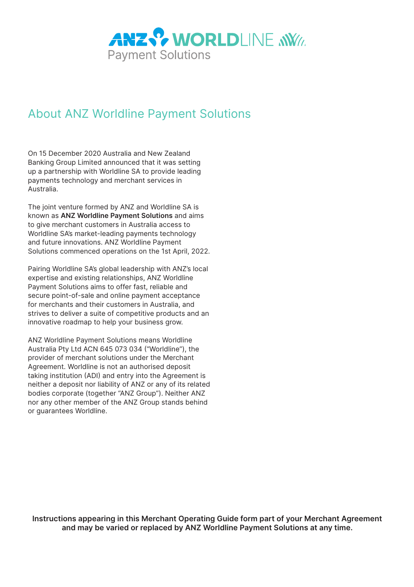

### About ANZ Worldline Payment Solutions

On 15 December 2020 Australia and New Zealand Banking Group Limited announced that it was setting up a partnership with Worldline SA to provide leading payments technology and merchant services in Australia.

The joint venture formed by ANZ and Worldline SA is known as **ANZ Worldline Payment Solutions** and aims to give merchant customers in Australia access to Worldline SA's market-leading payments technology and future innovations. ANZ Worldline Payment Solutions commenced operations on the 1st April, 2022.

Pairing Worldline SA's global leadership with ANZ's local expertise and existing relationships, ANZ Worldline Payment Solutions aims to offer fast, reliable and secure point-of-sale and online payment acceptance for merchants and their customers in Australia, and strives to deliver a suite of competitive products and an innovative roadmap to help your business grow.

ANZ Worldline Payment Solutions means Worldline Australia Pty Ltd ACN 645 073 034 ("Worldline"), the provider of merchant solutions under the Merchant Agreement. Worldline is not an authorised deposit taking institution (ADI) and entry into the Agreement is neither a deposit nor liability of ANZ or any of its related bodies corporate (together "ANZ Group"). Neither ANZ nor any other member of the ANZ Group stands behind or guarantees Worldline.

**Instructions appearing in this Merchant Operating Guide form part of your Merchant Agreement and may be varied or replaced by ANZ Worldline Payment Solutions at any time.**